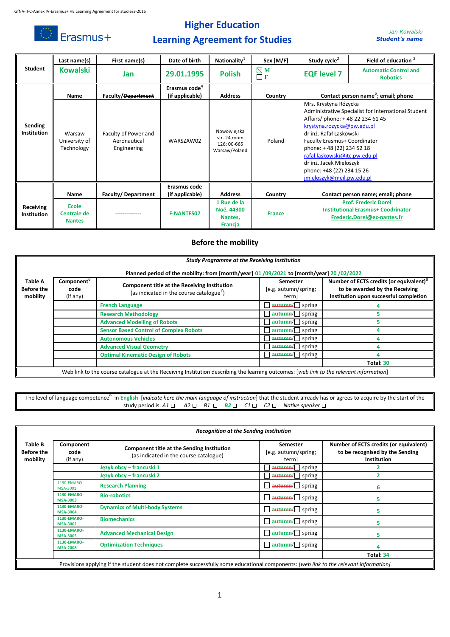

# **Higher Education Learning Agreement for Studies**

*Jan Kowalski Student's name*

|                               | Last name(s)                          | First name(s)                                       | Date of birth                                | Nationality <sup>1</sup>                                    | Sex [M/F]                 | Study cycle <sup><math>2</math></sup>                                                                                                                                                                                                                                                                                                                        | Field of education <sup>3</sup>                                                                         |
|-------------------------------|---------------------------------------|-----------------------------------------------------|----------------------------------------------|-------------------------------------------------------------|---------------------------|--------------------------------------------------------------------------------------------------------------------------------------------------------------------------------------------------------------------------------------------------------------------------------------------------------------------------------------------------------------|---------------------------------------------------------------------------------------------------------|
| Student                       | <b>Kowalski</b>                       | Jan                                                 | 29.01.1995                                   | <b>Polish</b>                                               | $\boxtimes$ M<br>$\Box$ F | <b>EQF level 7</b>                                                                                                                                                                                                                                                                                                                                           | <b>Automatic Control and</b><br><b>Robotics</b>                                                         |
|                               | Name                                  | <b>Faculty/Department</b>                           | Erasmus code <sup>4</sup><br>(if applicable) | <b>Address</b>                                              | Country                   |                                                                                                                                                                                                                                                                                                                                                              | Contact person name <sup>5</sup> ; email; phone                                                         |
| Sending<br><b>Institution</b> | Warsaw<br>University of<br>Technology | Faculty of Power and<br>Aeronautical<br>Engineering | WARSZAW02                                    | Nowowiejska<br>str. 24 room<br>126; 00-665<br>Warsaw/Poland | Poland                    | Mrs. Krystyna Różycka<br>Administrative Specialist for International Student<br>Affairs/ phone: +48 22 234 61 45<br>krystyna.rozycka@pw.edu.pl<br>dr inż. Rafał Laskowski<br>Faculty Erasmus+ Coordinator<br>phone: +48 (22) 234 52 18<br>rafal.laskowski@itc.pw.edu.pl<br>dr inż. Jacek Mieloszyk<br>phone: +48 (22) 234 15 26<br>jmieloszyk@meil.pw.edu.pl |                                                                                                         |
|                               | Name                                  | Faculty/Department                                  | Erasmus code<br>(if applicable)              | <b>Address</b>                                              | Country                   |                                                                                                                                                                                                                                                                                                                                                              | Contact person name; email; phone                                                                       |
| Receiving<br>Institution      | Ecole<br>Centrale de<br><b>Nantes</b> |                                                     | <b>F-NANTES07</b>                            | 1 Rue de la<br>Noë, 44300<br>Nantes.<br><b>Francia</b>      | <b>France</b>             |                                                                                                                                                                                                                                                                                                                                                              | <b>Prof. Frederic Dorel</b><br><b>Institutional Erasmus+ Coodrinator</b><br>Frederic.Dorel@ec-nantes.fr |

#### **Before the mobility**

|                                          | <b>Study Programme at the Receiving Institution</b>                                     |                                                                                                                                              |                                                          |                                                                                                                                 |  |  |  |
|------------------------------------------|-----------------------------------------------------------------------------------------|----------------------------------------------------------------------------------------------------------------------------------------------|----------------------------------------------------------|---------------------------------------------------------------------------------------------------------------------------------|--|--|--|
|                                          | Planned period of the mobility: from [month/year] 01/09/2021 to [month/year] 20/02/2022 |                                                                                                                                              |                                                          |                                                                                                                                 |  |  |  |
| Table A<br><b>Before the</b><br>mobility | Component <sup>o</sup><br>code<br>(if any)                                              | Component title at the Receiving Institution<br>(as indicated in the course catalogue <sup>7</sup> )                                         | <b>Semester</b><br>[e.g. autumn/spring;<br>term]         | Number of ECTS credits (or equivalent) <sup>8</sup><br>to be awarded by the Receiving<br>Institution upon successful completion |  |  |  |
|                                          |                                                                                         | <b>French Language</b>                                                                                                                       | $\sqrt{ }$ autumn/ $\sqrt{ }$ spring                     |                                                                                                                                 |  |  |  |
|                                          |                                                                                         | <b>Research Methodology</b>                                                                                                                  | $\sqrt{\text{autumn}}$ spring                            |                                                                                                                                 |  |  |  |
|                                          |                                                                                         | <b>Advanced Modelling of Robots</b>                                                                                                          | $a$ <b>utumn</b> $\Box$ spring                           |                                                                                                                                 |  |  |  |
|                                          |                                                                                         | <b>Sensor Based Control of Complex Robots</b>                                                                                                | $\overline{\text{autumn}}$ spring                        |                                                                                                                                 |  |  |  |
|                                          |                                                                                         | <b>Autonomous Vehicles</b>                                                                                                                   | $\overline{\text{autumn}}$ spring                        |                                                                                                                                 |  |  |  |
|                                          |                                                                                         | <b>Advanced Visual Geometry</b>                                                                                                              | $\overline{\text{autumn}}$ spring                        |                                                                                                                                 |  |  |  |
|                                          |                                                                                         | <b>Optimal Kinematic Design of Robots</b>                                                                                                    | $\sqrt{\frac{3}{2}}$ autumn/ $\sqrt{\frac{3}{2}}$ spring |                                                                                                                                 |  |  |  |
|                                          |                                                                                         |                                                                                                                                              |                                                          | Total: 30                                                                                                                       |  |  |  |
|                                          |                                                                                         | Web link to the course catalogue at the Receiving Institution describing the learning outcomes: <i>lweb link to the relevant information</i> |                                                          |                                                                                                                                 |  |  |  |

Web link to the course catalogue at the Receiving Institution describing the learning outcomes: [*web link to the relevant information*]

The level of language competence<sup>9</sup> in English [*indicate here the main language of instruction*] that the student already has or agrees to acquire by the start of the study period is:  $A1 \Box$   $A2 \Box$   $B1 \Box$   $B2 \Box$   $C1 \Box$   $C2 \Box$  Native speaker  $\Box$ 

|                                          | <b>Recognition at the Sending Institution</b> |                                                                                                                                       |                                                  |                                                                                                 |  |  |
|------------------------------------------|-----------------------------------------------|---------------------------------------------------------------------------------------------------------------------------------------|--------------------------------------------------|-------------------------------------------------------------------------------------------------|--|--|
| Table B<br><b>Before the</b><br>mobility | Component<br>code<br>(if any)                 | <b>Component title at the Sending Institution</b><br>(as indicated in the course catalogue)                                           | <b>Semester</b><br>[e.g. autumn/spring;<br>term] | Number of ECTS credits (or equivalent)<br>to be recognised by the Sending<br><b>Institution</b> |  |  |
|                                          |                                               | Język obcy – francuski 1                                                                                                              | $\overline{\text{autumn}}$ spring                |                                                                                                 |  |  |
|                                          |                                               | Język obcy – francuski 2                                                                                                              | $\Box$ autumn/ $\Box$ spring                     |                                                                                                 |  |  |
|                                          | 1130-FMARO-<br>MSA-3001                       | <b>Research Planning</b>                                                                                                              | $\Box$ autumn/ $\Box$ spring                     | 6                                                                                               |  |  |
|                                          | 1130-EMARO-<br><b>MSA-3003</b>                | <b>Bio-robotics</b>                                                                                                                   | $\Box$ autumn/ $\Box$ spring                     | 5.                                                                                              |  |  |
|                                          | 1130-EMARO-<br><b>MSA-3004</b>                | <b>Dynamics of Multi-body Systems</b>                                                                                                 | $\Box$ autumn/ $\Box$ spring                     | 5.                                                                                              |  |  |
|                                          | 1130-EMARO-<br><b>MSA-3002</b>                | <b>Biomechanics</b>                                                                                                                   | $\Box$ autumn/ $\Box$ spring                     | 5.                                                                                              |  |  |
|                                          | 1130-EMARO-<br><b>MSA-3005</b>                | <b>Advanced Mechanical Design</b>                                                                                                     | $\Box$ autumn/ $\Box$ spring                     | 5                                                                                               |  |  |
|                                          | 1130-EMARO-<br><b>MSA-2008</b>                | <b>Optimization Techniques</b>                                                                                                        | $\Box$ autumn/ $\Box$ spring                     |                                                                                                 |  |  |
|                                          |                                               |                                                                                                                                       |                                                  | Total: 34                                                                                       |  |  |
|                                          |                                               | Provisions applying if the student does not complete successfully some educational components: [web link to the relevant information] |                                                  |                                                                                                 |  |  |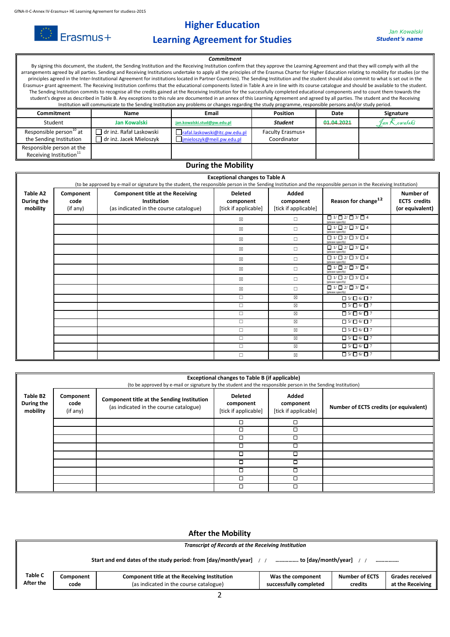$\circledcirc$  Erasmus+



## **Learning Agreement for Studies**

## **Commitment**

By signing this document, the student, the Sending Institution and the Receiving Institution confirm that they approve the Learning Agreement and that they will comply with all the arrangements agreed by all parties. Sending and Receiving Institutions undertake to apply all the principles of the Erasmus Charter for Higher Education relating to mobility for studies (or the principles agreed in the Inter-Institutional Agreement for institutions located in Partner Countries). The Sending Institution and the student should also commit to what is set out in the Erasmus+ grant agreement. The Receiving Institution confirms that the educational components listed in Table A are in line with its course catalogue and should be available to the student. The Sending Institution commits to recognise all the credits gained at the Receiving Institution for the successfully completed educational components and to count them towards the student's degree as described in Table B. Any exceptions to this rule are documented in an annex of this Learning Agreement and agreed by all parties. The student and the Receiving Institution will communicate to the Sending Institution any problems or changes regarding the study programme, responsible persons and/or study period.

| Commitment                                                       | <b>Name</b>                                        | <b>Email</b>                                               | <b>Position</b>                        | Date       | Signature     |
|------------------------------------------------------------------|----------------------------------------------------|------------------------------------------------------------|----------------------------------------|------------|---------------|
| Student                                                          | <b>Jan Kowalski</b>                                | jan.kowalski.stud@pw.edu.pl                                | <b>Student</b>                         | 01.04.2021 | 9an K…owalski |
| Responsible person <sup>10</sup> at<br>the Sending Institution   | dr inż. Rafał Laskowski<br>dr inż. Jacek Mieloszyk | rafal.laskowski@itc.pw.edu.pl<br>jmieloszyk@meil.pw.edu.pl | <b>Faculty Erasmus+</b><br>Coordinator |            |               |
| Responsible person at the<br>Receiving Institution <sup>11</sup> |                                                    |                                                            |                                        |            |               |

#### **During the Mobility**

|                                    | <b>Exceptional changes to Table A</b><br>(to be approved by e-mail or signature by the student, the responsible person in the Sending Institution and the responsible person in the Receiving Institution) |                                                                                                  |                                                     |                                            |                                                            |                                                     |
|------------------------------------|------------------------------------------------------------------------------------------------------------------------------------------------------------------------------------------------------------|--------------------------------------------------------------------------------------------------|-----------------------------------------------------|--------------------------------------------|------------------------------------------------------------|-----------------------------------------------------|
| Table A2<br>During the<br>mobility | Component<br>code<br>(if any)                                                                                                                                                                              | <b>Component title at the Receiving</b><br>Institution<br>(as indicated in the course catalogue) | <b>Deleted</b><br>component<br>[tick if applicable] | Added<br>component<br>[tick if applicable] | Reason for change <sup>12</sup>                            | Number of<br><b>ECTS</b> credits<br>(or equivalent) |
|                                    |                                                                                                                                                                                                            |                                                                                                  | $\boxtimes$                                         | П                                          | $\Box$ 1/ $\Box$ 2/ $\Box$ 3/ $\Box$ 4<br>(please specify) |                                                     |
|                                    |                                                                                                                                                                                                            |                                                                                                  | $\boxtimes$                                         | п                                          | $\Box$ 1/ $\Box$ 2/ $\Box$ 3/ $\Box$ 4<br>(please specify) |                                                     |
|                                    |                                                                                                                                                                                                            |                                                                                                  | $\boxtimes$                                         | П                                          | $\Box$ 1/ $\Box$ 2/ $\Box$ 3/ $\Box$ 4<br>(please specify) |                                                     |
|                                    |                                                                                                                                                                                                            |                                                                                                  | $\boxtimes$                                         | п                                          | $\Box$ 1/ $\Box$ 2/ $\Box$ 3/ $\Box$ 4<br>(please specify) |                                                     |
|                                    |                                                                                                                                                                                                            |                                                                                                  | $\boxtimes$                                         | п                                          | $\Box$ 1/ $\Box$ 2/ $\Box$ 3/ $\Box$ 4<br>(please specify) |                                                     |
|                                    |                                                                                                                                                                                                            |                                                                                                  | $\boxtimes$                                         | п                                          | $\Box$ 1/ $\Box$ 2/ $\Box$ 3/ $\Box$ 4<br>(please specify) |                                                     |
|                                    |                                                                                                                                                                                                            |                                                                                                  | $\boxtimes$                                         | п                                          | $\Box$ 1/ $\Box$ 2/ $\Box$ 3/ $\Box$ 4<br>(please specify) |                                                     |
|                                    |                                                                                                                                                                                                            |                                                                                                  | $\boxtimes$                                         | п                                          | $\Box$ 1/ $\Box$ 2/ $\Box$ 3/ $\Box$ 4<br>(please specify) |                                                     |
|                                    |                                                                                                                                                                                                            |                                                                                                  | $\Box$                                              | $\boxtimes$                                | $\Box 5/\Box 6/\Box 7$                                     |                                                     |
|                                    |                                                                                                                                                                                                            |                                                                                                  | $\Box$                                              | ⊠                                          | $\Box 5/\Box 6/\Box 7$                                     |                                                     |
|                                    |                                                                                                                                                                                                            |                                                                                                  | $\Box$                                              | $\boxtimes$                                | $\Box 5/\Box 6/\Box 7$                                     |                                                     |
|                                    |                                                                                                                                                                                                            |                                                                                                  | $\Box$                                              | $\boxtimes$                                | $\Box 5/\Box 6/\Box 7$                                     |                                                     |
|                                    |                                                                                                                                                                                                            |                                                                                                  | $\Box$                                              | ⊠                                          | $\Box 5/\Box 6/\Box 7$                                     |                                                     |
|                                    |                                                                                                                                                                                                            |                                                                                                  | $\Box$                                              | $\boxtimes$                                | $\Box 5/\Box 6/\Box 7$                                     |                                                     |
|                                    |                                                                                                                                                                                                            |                                                                                                  | $\Box$                                              | ⊠                                          | $\Box 5/\Box 6/\Box 7$                                     |                                                     |
|                                    |                                                                                                                                                                                                            |                                                                                                  | $\Box$                                              | $\boxtimes$                                | $\Box 5/\Box 6/\Box 7$                                     |                                                     |

|                                    | Exceptional changes to Table B (if applicable)<br>(to be approved by e-mail or signature by the student and the responsible person in the Sending Institution) |                                                                                      |                                                     |                                            |                                        |  |  |
|------------------------------------|----------------------------------------------------------------------------------------------------------------------------------------------------------------|--------------------------------------------------------------------------------------|-----------------------------------------------------|--------------------------------------------|----------------------------------------|--|--|
| Table B2<br>During the<br>mobility | Component<br>code<br>(if any)                                                                                                                                  | Component title at the Sending Institution<br>(as indicated in the course catalogue) | <b>Deleted</b><br>component<br>[tick if applicable] | Added<br>component<br>[tick if applicable] | Number of ECTS credits (or equivalent) |  |  |
|                                    |                                                                                                                                                                |                                                                                      | □                                                   | □                                          |                                        |  |  |
|                                    |                                                                                                                                                                |                                                                                      | □                                                   | □                                          |                                        |  |  |
|                                    |                                                                                                                                                                |                                                                                      | □                                                   | п                                          |                                        |  |  |
|                                    |                                                                                                                                                                |                                                                                      | □                                                   | ◻                                          |                                        |  |  |
|                                    |                                                                                                                                                                |                                                                                      | □                                                   | □                                          |                                        |  |  |
|                                    |                                                                                                                                                                |                                                                                      | □                                                   | □                                          |                                        |  |  |
|                                    |                                                                                                                                                                |                                                                                      | ◻                                                   | п                                          |                                        |  |  |
|                                    |                                                                                                                                                                |                                                                                      | □                                                   | ⊓                                          |                                        |  |  |
|                                    |                                                                                                                                                                |                                                                                      | □                                                   | □                                          |                                        |  |  |

#### **After the Mobility**

| <b>Transcript of Records at the Receiving Institution</b> |                   |                                                                                        |                                             |                                  |                                            |
|-----------------------------------------------------------|-------------------|----------------------------------------------------------------------------------------|---------------------------------------------|----------------------------------|--------------------------------------------|
|                                                           |                   | Start and end dates of the study period: from [day/month/year]                         | to [day/month/year]                         |                                  |                                            |
| <b>Table C</b><br>After the                               | Component<br>code | Component title at the Receiving Institution<br>(as indicated in the course catalogue) | Was the component<br>successfully completed | <b>Number of ECTS</b><br>credits | <b>Grades received</b><br>at the Receiving |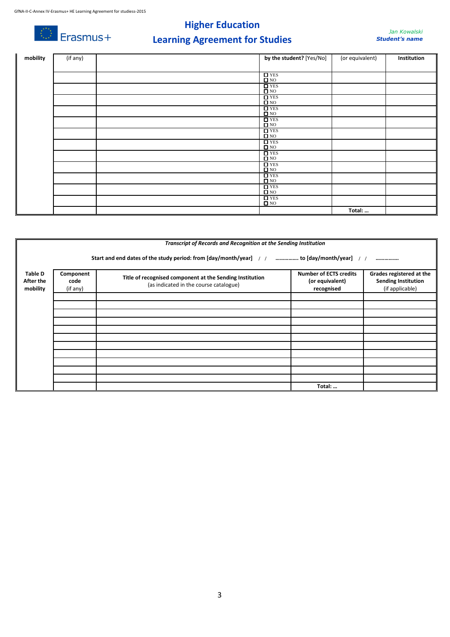$\circledcirc$  Erasmus+

# **Higher Education Learning Agreement for Studies**

| mobility | (if any) | by the student? [Yes/No]                 | (or equivalent) | Institution |
|----------|----------|------------------------------------------|-----------------|-------------|
|          |          |                                          |                 |             |
|          |          | $\Box$ YES                               |                 |             |
|          |          | $\Box$ NO                                |                 |             |
|          |          | $\Box$ YES<br>$\square$ NO               |                 |             |
|          |          | $\Box$ YES                               |                 |             |
|          |          | $\Box$ NO                                |                 |             |
|          |          | $\Box$ YES<br>$\square$ NO               |                 |             |
|          |          | $\overline{\Box}$ YES                    |                 |             |
|          |          | $\Box$ NO                                |                 |             |
|          |          | $\Box$ YES<br>$\Box$ NO                  |                 |             |
|          |          | $\Box$ YES<br>$\Box$ NO                  |                 |             |
|          |          | $\Box$ YES<br>$\Box$ NO                  |                 |             |
|          |          | $\Box$ YES                               |                 |             |
|          |          | $\square$ NO                             |                 |             |
|          |          | $\Box$ YES<br>$\Box$ NO                  |                 |             |
|          |          | $\square$<br>YES $\square$<br>NO         |                 |             |
|          |          | $\frac{\Box \text{YES}}{\Box \text{NO}}$ |                 |             |
|          |          |                                          |                 |             |
|          |          |                                          | Total:          |             |

|                                         |                                                                                                 | Transcript of Records and Recognition at the Sending Institution                                   |                                                                |                                                                           |  |  |  |  |
|-----------------------------------------|-------------------------------------------------------------------------------------------------|----------------------------------------------------------------------------------------------------|----------------------------------------------------------------|---------------------------------------------------------------------------|--|--|--|--|
|                                         | Start and end dates of the study period: from [day/month/year] / /  to [day/month/year] / /<br> |                                                                                                    |                                                                |                                                                           |  |  |  |  |
| <b>Table D</b><br>After the<br>mobility | Component<br>code<br>(if any)                                                                   | Title of recognised component at the Sending Institution<br>(as indicated in the course catalogue) | <b>Number of ECTS credits</b><br>(or equivalent)<br>recognised | Grades registered at the<br><b>Sending Institution</b><br>(if applicable) |  |  |  |  |
|                                         |                                                                                                 |                                                                                                    |                                                                |                                                                           |  |  |  |  |
|                                         |                                                                                                 |                                                                                                    |                                                                |                                                                           |  |  |  |  |
|                                         |                                                                                                 |                                                                                                    |                                                                |                                                                           |  |  |  |  |
|                                         |                                                                                                 |                                                                                                    |                                                                |                                                                           |  |  |  |  |
|                                         |                                                                                                 |                                                                                                    |                                                                |                                                                           |  |  |  |  |
|                                         |                                                                                                 |                                                                                                    |                                                                |                                                                           |  |  |  |  |
|                                         |                                                                                                 |                                                                                                    |                                                                |                                                                           |  |  |  |  |
|                                         |                                                                                                 |                                                                                                    |                                                                |                                                                           |  |  |  |  |
|                                         |                                                                                                 |                                                                                                    |                                                                |                                                                           |  |  |  |  |
|                                         |                                                                                                 |                                                                                                    |                                                                |                                                                           |  |  |  |  |
|                                         |                                                                                                 |                                                                                                    |                                                                |                                                                           |  |  |  |  |
|                                         |                                                                                                 |                                                                                                    | Total:                                                         |                                                                           |  |  |  |  |